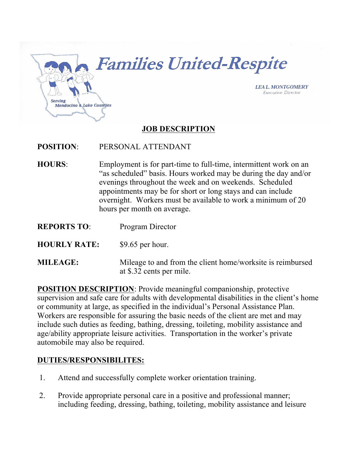

**Families United-Respite** 

**LEA L. MONTGOMERY Executive Director** 

# **JOB DESCRIPTION**

#### **POSITION**: PERSONAL ATTENDANT

- **HOURS**: Employment is for part-time to full-time, intermittent work on an "as scheduled" basis. Hours worked may be during the day and/or evenings throughout the week and on weekends. Scheduled appointments may be for short or long stays and can include overnight. Workers must be available to work a minimum of 20 hours per month on average.
- **REPORTS TO**: Program Director
- **HOURLY RATE:** \$9.65 per hour.
- **MILEAGE:** Mileage to and from the client home/worksite is reimbursed at \$.32 cents per mile.

**POSITION DESCRIPTION**: Provide meaningful companionship, protective supervision and safe care for adults with developmental disabilities in the client's home or community at large, as specified in the individual's Personal Assistance Plan. Workers are responsible for assuring the basic needs of the client are met and may include such duties as feeding, bathing, dressing, toileting, mobility assistance and age/ability appropriate leisure activities. Transportation in the worker's private automobile may also be required.

#### **DUTIES/RESPONSIBILITES:**

- 1. Attend and successfully complete worker orientation training.
- 2. Provide appropriate personal care in a positive and professional manner; including feeding, dressing, bathing, toileting, mobility assistance and leisure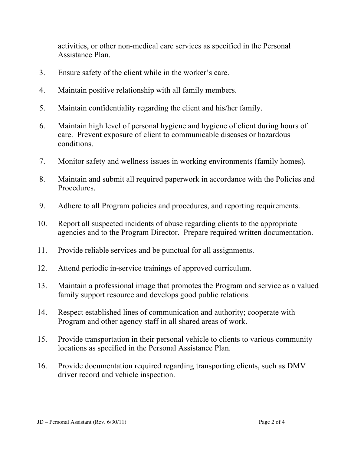activities, or other non-medical care services as specified in the Personal Assistance Plan.

- 3. Ensure safety of the client while in the worker's care.
- 4. Maintain positive relationship with all family members.
- 5. Maintain confidentiality regarding the client and his/her family.
- 6. Maintain high level of personal hygiene and hygiene of client during hours of care. Prevent exposure of client to communicable diseases or hazardous conditions.
- 7. Monitor safety and wellness issues in working environments (family homes).
- 8. Maintain and submit all required paperwork in accordance with the Policies and Procedures.
- 9. Adhere to all Program policies and procedures, and reporting requirements.
- 10. Report all suspected incidents of abuse regarding clients to the appropriate agencies and to the Program Director. Prepare required written documentation.
- 11. Provide reliable services and be punctual for all assignments.
- 12. Attend periodic in-service trainings of approved curriculum.
- 13. Maintain a professional image that promotes the Program and service as a valued family support resource and develops good public relations.
- 14. Respect established lines of communication and authority; cooperate with Program and other agency staff in all shared areas of work.
- 15. Provide transportation in their personal vehicle to clients to various community locations as specified in the Personal Assistance Plan.
- 16. Provide documentation required regarding transporting clients, such as DMV driver record and vehicle inspection.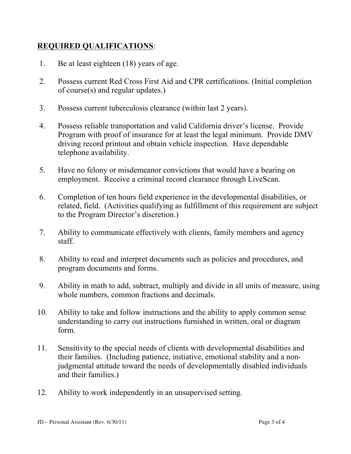# **REQUIRED QUALIFICATIONS**:

- 1. Be at least eighteen (18) years of age.
- 2. Possess current Red Cross First Aid and CPR certifications. (Initial completion of course(s) and regular updates.)
- 3. Possess current tuberculosis clearance (within last 2 years).
- 4. Possess reliable transportation and valid California driver's license. Provide Program with proof of insurance for at least the legal minimum. Provide DMV driving record printout and obtain vehicle inspection. Have dependable telephone availability.
- 5. Have no felony or misdemeanor convictions that would have a bearing on employment. Receive a criminal record clearance through LiveScan.
- 6. Completion of ten hours field experience in the developmental disabilities, or related, field. (Activities qualifying as fulfillment of this requirement are subject to the Program Director's discretion.)
- 7. Ability to communicate effectively with clients, family members and agency staff.
- 8. Ability to read and interpret documents such as policies and procedures, and program documents and forms.
- 9. Ability in math to add, subtract, multiply and divide in all units of measure, using whole numbers, common fractions and decimals.
- 10. Ability to take and follow instructions and the ability to apply common sense understanding to carry out instructions furnished in written, oral or diagram form.
- 11. Sensitivity to the special needs of clients with developmental disabilities and their families. (Including patience, initiative, emotional stability and a nonjudgmental attitude toward the needs of developmentally disabled individuals and their families.)
- 12. Ability to work independently in an unsupervised setting.